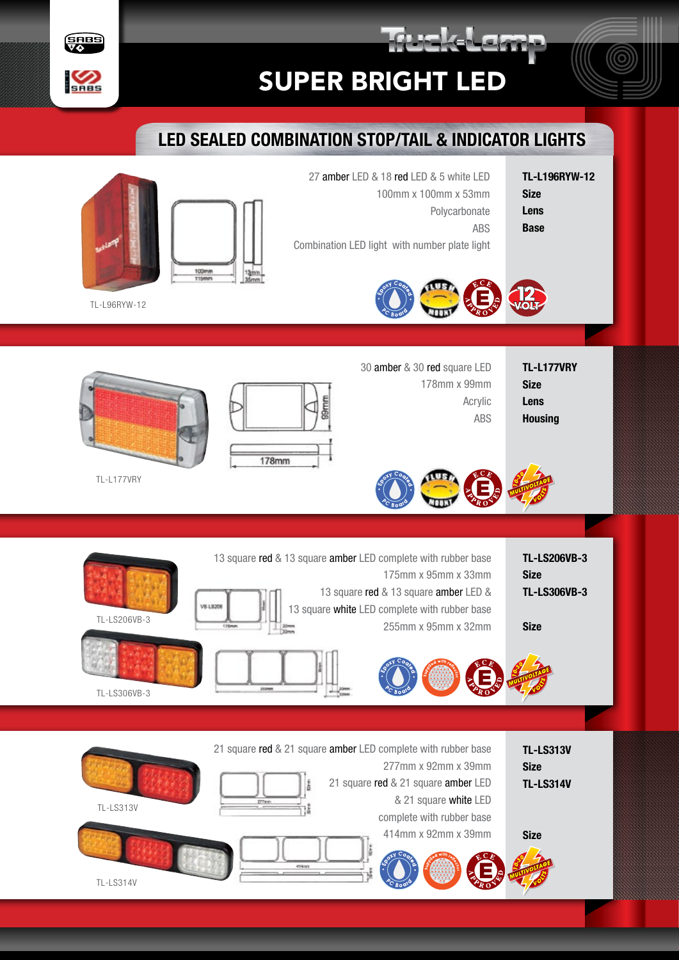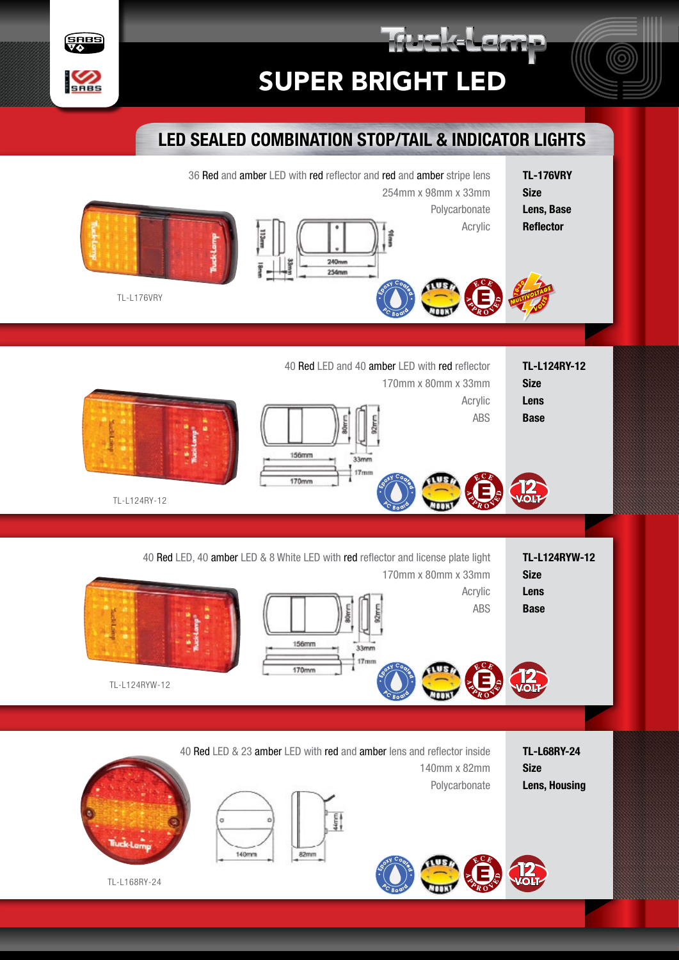





TL-L176VRY

**SABS** 

**SHES** 

TL-L124RY-12 Size Lens

Base

Size

Lens, Base **Reflector** 

170mm x 80mm x 33mm Acrylic

ABS

Polycarbonate Acrylic



 $240n$ 254mm

40 Red LED and 40 amber LED with red reflector



TL-L124RY-12

TL-L124RYW-12 Size Lens **Base** 40 Red LED, 40 amber LED & 8 White LED with red reflector and license plate light 170mm x 80mm x 33mm Acrylic ABS

 $33mm$ 



TL-L68RY-24 Size Lens, Housing

40 Red LED & 23 amber LED with red and amber lens and reflector inside 140mm x 82mm Polycarbonate





TL-L168RY-24